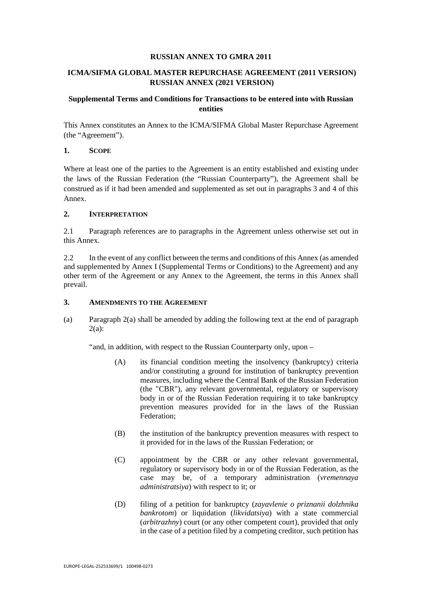### **RUSSIAN ANNEX TO GMRA 2011**

# **ICMA/SIFMA GLOBAL MASTER REPURCHASE AGREEMENT (2011 VERSION) RUSSIAN ANNEX (2021 VERSION)**

# **Supplemental Terms and Conditions for Transactions to be entered into with Russian entities**

This Annex constitutes an Annex to the ICMA/SIFMA Global Master Repurchase Agreement (the "Agreement").

## **1. SCOPE**

Where at least one of the parties to the Agreement is an entity established and existing under the laws of the Russian Federation (the "Russian Counterparty"), the Agreement shall be construed as if it had been amended and supplemented as set out in paragraphs 3 and 4 of this Annex.

#### **2. INTERPRETATION**

2.1 Paragraph references are to paragraphs in the Agreement unless otherwise set out in this Annex.

2.2 In the event of any conflict between the terms and conditions of this Annex (as amended and supplemented by Annex I (Supplemental Terms or Conditions) to the Agreement) and any other term of the Agreement or any Annex to the Agreement, the terms in this Annex shall prevail.

#### **3. AMENDMENTS TO THE AGREEMENT**

(a) Paragraph 2(a) shall be amended by adding the following text at the end of paragraph 2(a):

"and, in addition, with respect to the Russian Counterparty only, upon –

- (A) its financial condition meeting the insolvency (bankruptcy) criteria and/or constituting a ground for institution of bankruptcy prevention measures, including where the Central Bank of the Russian Federation (the "CBR"), any relevant governmental, regulatory or supervisory body in or of the Russian Federation requiring it to take bankruptcy prevention measures provided for in the laws of the Russian Federation;
- (B) the institution of the bankruptcy prevention measures with respect to it provided for in the laws of the Russian Federation; or
- (C) appointment by the CBR or any other relevant governmental, regulatory or supervisory body in or of the Russian Federation, as the case may be, of a temporary administration (*vremennaya administratsiya*) with respect to it; or
- (D) filing of a petition for bankruptcy (*zayavlenie o priznanii dolzhnika bankrotom*) or liquidation (*likvidatsiya*) with a state commercial (*arbitrazhny*) court (or any other competent court), provided that only in the case of a petition filed by a competing creditor, such petition has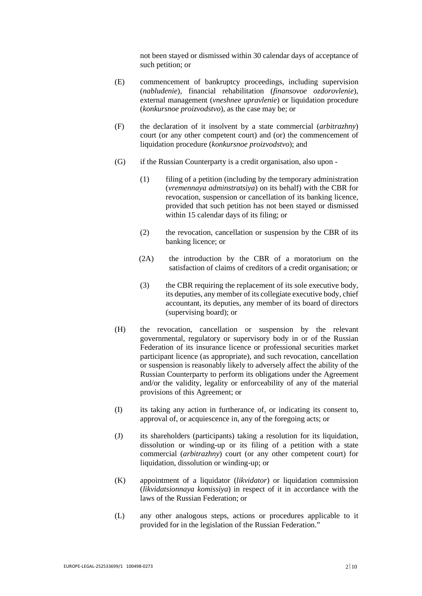not been stayed or dismissed within 30 calendar days of acceptance of such petition; or

- (E) commencement of bankruptcy proceedings, including supervision (*nabludenie*), financial rehabilitation (*finansovoe ozdorovlenie*), external management (*vneshnee upravlenie*) or liquidation procedure (*konkursnoe proizvodstvo*), as the case may be; or
- (F) the declaration of it insolvent by a state commercial (*arbitrazhny*) court (or any other competent court) and (or) the commencement of liquidation procedure (*konkursnoe proizvodstvo*); and
- (G) if the Russian Counterparty is a credit organisation, also upon
	- (1) filing of a petition (including by the temporary administration (*vremennaya adminstratsiya*) on its behalf) with the CBR for revocation, suspension or cancellation of its banking licence, provided that such petition has not been stayed or dismissed within 15 calendar days of its filing; or
	- (2) the revocation, cancellation or suspension by the CBR of its banking licence; or
	- (2A) the introduction by the CBR of a moratorium on the satisfaction of claims of creditors of a credit organisation; or
	- (3) the CBR requiring the replacement of its sole executive body, its deputies, any member of its collegiate executive body, chief accountant, its deputies, any member of its board of directors (supervising board); or
- (H) the revocation, cancellation or suspension by the relevant governmental, regulatory or supervisory body in or of the Russian Federation of its insurance licence or professional securities market participant licence (as appropriate), and such revocation, cancellation or suspension is reasonably likely to adversely affect the ability of the Russian Counterparty to perform its obligations under the Agreement and/or the validity, legality or enforceability of any of the material provisions of this Agreement; or
- (I) its taking any action in furtherance of, or indicating its consent to, approval of, or acquiescence in, any of the foregoing acts; or
- (J) its shareholders (participants) taking a resolution for its liquidation, dissolution or winding-up or its filing of a petition with a state commercial (*arbitrazhny*) court (or any other competent court) for liquidation, dissolution or winding-up; or
- (K) appointment of a liquidator (*likvidator*) or liquidation commission (*likvidatsionnaya komissiya*) in respect of it in accordance with the laws of the Russian Federation; or
- (L) any other analogous steps, actions or procedures applicable to it provided for in the legislation of the Russian Federation."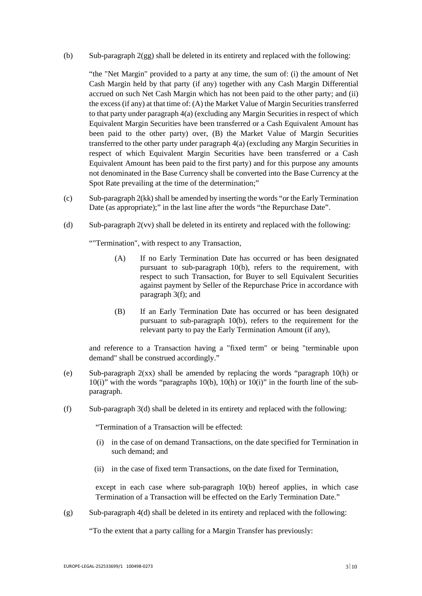(b) Sub-paragraph  $2(gg)$  shall be deleted in its entirety and replaced with the following:

"the "Net Margin" provided to a party at any time, the sum of: (i) the amount of Net Cash Margin held by that party (if any) together with any Cash Margin Differential accrued on such Net Cash Margin which has not been paid to the other party; and (ii) the excess (if any) at that time of: (A) the Market Value of Margin Securities transferred to that party under paragraph 4(a) (excluding any Margin Securities in respect of which Equivalent Margin Securities have been transferred or a Cash Equivalent Amount has been paid to the other party) over, (B) the Market Value of Margin Securities transferred to the other party under paragraph 4(a) (excluding any Margin Securities in respect of which Equivalent Margin Securities have been transferred or a Cash Equivalent Amount has been paid to the first party) and for this purpose any amounts not denominated in the Base Currency shall be converted into the Base Currency at the Spot Rate prevailing at the time of the determination;"

- (c) Sub-paragraph 2(kk) shall be amended by inserting the words "or the Early Termination Date (as appropriate);" in the last line after the words "the Repurchase Date".
- (d) Sub-paragraph 2(vv) shall be deleted in its entirety and replaced with the following:

""Termination", with respect to any Transaction,

- (A) If no Early Termination Date has occurred or has been designated pursuant to sub-paragraph 10(b), refers to the requirement, with respect to such Transaction, for Buyer to sell Equivalent Securities against payment by Seller of the Repurchase Price in accordance with paragraph 3(f); and
- (B) If an Early Termination Date has occurred or has been designated pursuant to sub-paragraph 10(b), refers to the requirement for the relevant party to pay the Early Termination Amount (if any),

and reference to a Transaction having a "fixed term" or being "terminable upon demand" shall be construed accordingly."

- (e) Sub-paragraph 2(xx) shall be amended by replacing the words "paragraph 10(h) or  $10(i)$ " with the words "paragraphs  $10(b)$ ,  $10(h)$  or  $10(i)$ " in the fourth line of the subparagraph.
- (f) Sub-paragraph 3(d) shall be deleted in its entirety and replaced with the following:

"Termination of a Transaction will be effected:

- (i) in the case of on demand Transactions, on the date specified for Termination in such demand; and
- (ii) in the case of fixed term Transactions, on the date fixed for Termination,

except in each case where sub-paragraph 10(b) hereof applies, in which case Termination of a Transaction will be effected on the Early Termination Date."

(g) Sub-paragraph 4(d) shall be deleted in its entirety and replaced with the following:

"To the extent that a party calling for a Margin Transfer has previously: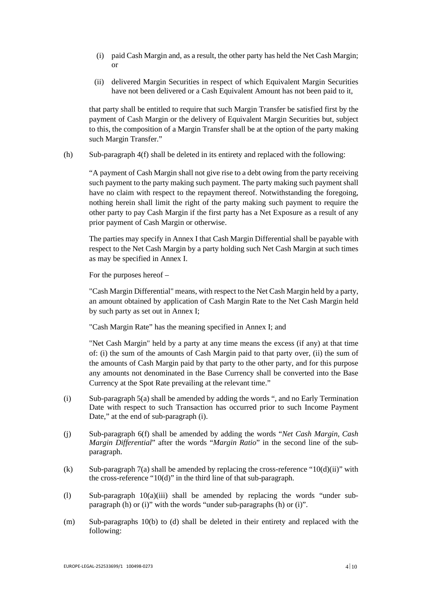- (i) paid Cash Margin and, as a result, the other party has held the Net Cash Margin; or
- (ii) delivered Margin Securities in respect of which Equivalent Margin Securities have not been delivered or a Cash Equivalent Amount has not been paid to it,

that party shall be entitled to require that such Margin Transfer be satisfied first by the payment of Cash Margin or the delivery of Equivalent Margin Securities but, subject to this, the composition of a Margin Transfer shall be at the option of the party making such Margin Transfer."

(h) Sub-paragraph 4(f) shall be deleted in its entirety and replaced with the following:

"A payment of Cash Margin shall not give rise to a debt owing from the party receiving such payment to the party making such payment. The party making such payment shall have no claim with respect to the repayment thereof. Notwithstanding the foregoing, nothing herein shall limit the right of the party making such payment to require the other party to pay Cash Margin if the first party has a Net Exposure as a result of any prior payment of Cash Margin or otherwise.

The parties may specify in Annex I that Cash Margin Differential shall be payable with respect to the Net Cash Margin by a party holding such Net Cash Margin at such times as may be specified in Annex I.

For the purposes hereof –

"Cash Margin Differential" means, with respect to the Net Cash Margin held by a party, an amount obtained by application of Cash Margin Rate to the Net Cash Margin held by such party as set out in Annex I;

"Cash Margin Rate" has the meaning specified in Annex I; and

"Net Cash Margin" held by a party at any time means the excess (if any) at that time of: (i) the sum of the amounts of Cash Margin paid to that party over, (ii) the sum of the amounts of Cash Margin paid by that party to the other party, and for this purpose any amounts not denominated in the Base Currency shall be converted into the Base Currency at the Spot Rate prevailing at the relevant time."

- (i) Sub-paragraph 5(a) shall be amended by adding the words ", and no Early Termination Date with respect to such Transaction has occurred prior to such Income Payment Date," at the end of sub-paragraph (i).
- (j) Sub-paragraph 6(f) shall be amended by adding the words "*Net Cash Margin, Cash Margin Differential*" after the words "*Margin Ratio*" in the second line of the subparagraph.
- (k) Sub-paragraph 7(a) shall be amended by replacing the cross-reference " $10(d)(ii)$ " with the cross-reference "10(d)" in the third line of that sub-paragraph.
- (l) Sub-paragraph 10(a)(iii) shall be amended by replacing the words "under subparagraph (h) or (i)" with the words "under sub-paragraphs (h) or (i)".
- (m) Sub-paragraphs 10(b) to (d) shall be deleted in their entirety and replaced with the following: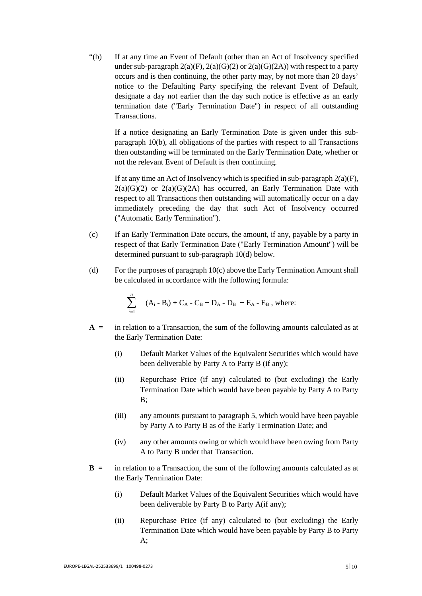"(b) If at any time an Event of Default (other than an Act of Insolvency specified under sub-paragraph  $2(a)(F)$ ,  $2(a)(G)(2)$  or  $2(a)(G)(2A)$ ) with respect to a party occurs and is then continuing, the other party may, by not more than 20 days' notice to the Defaulting Party specifying the relevant Event of Default, designate a day not earlier than the day such notice is effective as an early termination date ("Early Termination Date") in respect of all outstanding **Transactions** 

If a notice designating an Early Termination Date is given under this subparagraph 10(b), all obligations of the parties with respect to all Transactions then outstanding will be terminated on the Early Termination Date, whether or not the relevant Event of Default is then continuing.

If at any time an Act of Insolvency which is specified in sub-paragraph  $2(a)(F)$ ,  $2(a)(G)(2)$  or  $2(a)(G)(2A)$  has occurred, an Early Termination Date with respect to all Transactions then outstanding will automatically occur on a day immediately preceding the day that such Act of Insolvency occurred ("Automatic Early Termination").

- (c) If an Early Termination Date occurs, the amount, if any, payable by a party in respect of that Early Termination Date ("Early Termination Amount") will be determined pursuant to sub-paragraph 10(d) below.
- (d) For the purposes of paragraph 10(c) above the Early Termination Amount shall be calculated in accordance with the following formula:

$$
\sum_{i=1}^{n} (A_{i} - B_{i}) + C_{A} - C_{B} + D_{A} - D_{B} + E_{A} - E_{B}
$$
, where:

- **A =** in relation to a Transaction, the sum of the following amounts calculated as at the Early Termination Date:
	- (i) Default Market Values of the Equivalent Securities which would have been deliverable by Party A to Party B (if any);
	- (ii) Repurchase Price (if any) calculated to (but excluding) the Early Termination Date which would have been payable by Party A to Party B;
	- (iii) any amounts pursuant to paragraph 5, which would have been payable by Party A to Party B as of the Early Termination Date; and
	- (iv) any other amounts owing or which would have been owing from Party A to Party B under that Transaction.
- **B =** in relation to a Transaction, the sum of the following amounts calculated as at the Early Termination Date:
	- (i) Default Market Values of the Equivalent Securities which would have been deliverable by Party B to Party A(if any);
	- (ii) Repurchase Price (if any) calculated to (but excluding) the Early Termination Date which would have been payable by Party B to Party A;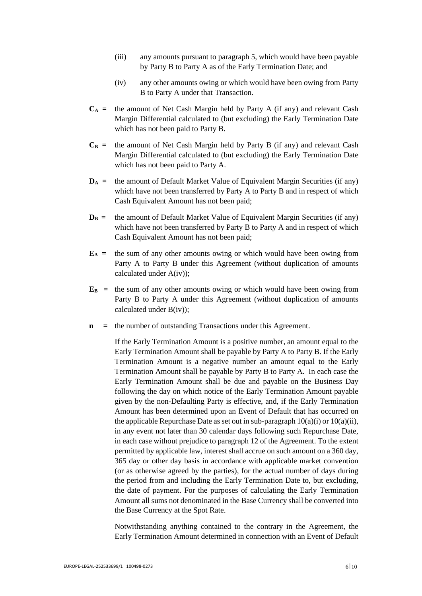- (iii) any amounts pursuant to paragraph 5, which would have been payable by Party B to Party A as of the Early Termination Date; and
- (iv) any other amounts owing or which would have been owing from Party B to Party A under that Transaction.
- $C_A$  = the amount of Net Cash Margin held by Party A (if any) and relevant Cash Margin Differential calculated to (but excluding) the Early Termination Date which has not been paid to Party B.
- $C_B$  = the amount of Net Cash Margin held by Party B (if any) and relevant Cash Margin Differential calculated to (but excluding) the Early Termination Date which has not been paid to Party A.
- **DA =** the amount of Default Market Value of Equivalent Margin Securities (if any) which have not been transferred by Party A to Party B and in respect of which Cash Equivalent Amount has not been paid;
- $D_B$  = the amount of Default Market Value of Equivalent Margin Securities (if any) which have not been transferred by Party B to Party A and in respect of which Cash Equivalent Amount has not been paid;
- $E_A$  = the sum of any other amounts owing or which would have been owing from Party A to Party B under this Agreement (without duplication of amounts calculated under A(iv));
- $\mathbf{E}_B$  = the sum of any other amounts owing or which would have been owing from Party B to Party A under this Agreement (without duplication of amounts calculated under B(iv));
- **n =** the number of outstanding Transactions under this Agreement.

If the Early Termination Amount is a positive number, an amount equal to the Early Termination Amount shall be payable by Party A to Party B. If the Early Termination Amount is a negative number an amount equal to the Early Termination Amount shall be payable by Party B to Party A. In each case the Early Termination Amount shall be due and payable on the Business Day following the day on which notice of the Early Termination Amount payable given by the non-Defaulting Party is effective, and, if the Early Termination Amount has been determined upon an Event of Default that has occurred on the applicable Repurchase Date as set out in sub-paragraph  $10(a)(i)$  or  $10(a)(ii)$ , in any event not later than 30 calendar days following such Repurchase Date, in each case without prejudice to paragraph 12 of the Agreement. To the extent permitted by applicable law, interest shall accrue on such amount on a 360 day, 365 day or other day basis in accordance with applicable market convention (or as otherwise agreed by the parties), for the actual number of days during the period from and including the Early Termination Date to, but excluding, the date of payment. For the purposes of calculating the Early Termination Amount all sums not denominated in the Base Currency shall be converted into the Base Currency at the Spot Rate.

Notwithstanding anything contained to the contrary in the Agreement, the Early Termination Amount determined in connection with an Event of Default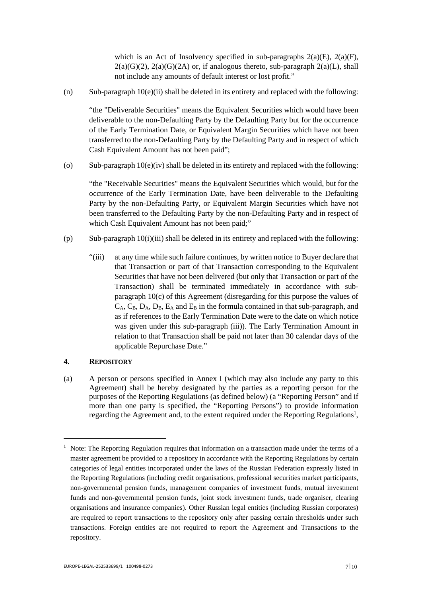which is an Act of Insolvency specified in sub-paragraphs  $2(a)(E)$ ,  $2(a)(F)$ ,  $2(a)(G)(2)$ ,  $2(a)(G)(2A)$  or, if analogous thereto, sub-paragraph  $2(a)(L)$ , shall not include any amounts of default interest or lost profit."

(n) Sub-paragraph  $10(e)(ii)$  shall be deleted in its entirety and replaced with the following:

"the "Deliverable Securities" means the Equivalent Securities which would have been deliverable to the non-Defaulting Party by the Defaulting Party but for the occurrence of the Early Termination Date, or Equivalent Margin Securities which have not been transferred to the non-Defaulting Party by the Defaulting Party and in respect of which Cash Equivalent Amount has not been paid";

(o) Sub-paragraph  $10(e)(iv)$  shall be deleted in its entirety and replaced with the following:

"the "Receivable Securities" means the Equivalent Securities which would, but for the occurrence of the Early Termination Date, have been deliverable to the Defaulting Party by the non-Defaulting Party, or Equivalent Margin Securities which have not been transferred to the Defaulting Party by the non-Defaulting Party and in respect of which Cash Equivalent Amount has not been paid;"

- $(p)$  Sub-paragraph  $10(i)(iii)$  shall be deleted in its entirety and replaced with the following:
	- "(iii) at any time while such failure continues, by written notice to Buyer declare that that Transaction or part of that Transaction corresponding to the Equivalent Securities that have not been delivered (but only that Transaction or part of the Transaction) shall be terminated immediately in accordance with subparagraph 10(c) of this Agreement (disregarding for this purpose the values of  $C_A$ ,  $C_B$ ,  $D_A$ ,  $D_B$ ,  $E_A$  and  $E_B$  in the formula contained in that sub-paragraph, and as if references to the Early Termination Date were to the date on which notice was given under this sub-paragraph (iii)). The Early Termination Amount in relation to that Transaction shall be paid not later than 30 calendar days of the applicable Repurchase Date."

## **4. REPOSITORY**

(a) A person or persons specified in Annex I (which may also include any party to this Agreement) shall be hereby designated by the parties as a reporting person for the purposes of the Reporting Regulations (as defined below) (a "Reporting Person" and if more than one party is specified, the "Reporting Persons") to provide information regarding the Agreement and, to the extent required under the Reporting Regulations<sup>1</sup>,

<sup>&</sup>lt;sup>1</sup> Note: The Reporting Regulation requires that information on a transaction made under the terms of a master agreement be provided to a repository in accordance with the Reporting Regulations by certain categories of legal entities incorporated under the laws of the Russian Federation expressly listed in the Reporting Regulations (including credit organisations, professional securities market participants, non-governmental pension funds, management companies of investment funds, mutual investment funds and non-governmental pension funds, joint stock investment funds, trade organiser, clearing organisations and insurance companies). Other Russian legal entities (including Russian corporates) are required to report transactions to the repository only after passing certain thresholds under such transactions. Foreign entities are not required to report the Agreement and Transactions to the repository.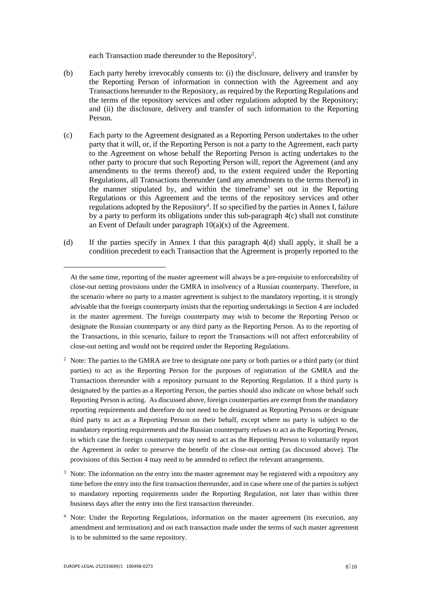each Transaction made thereunder to the Repository<sup>2</sup>.

- (b) Each party hereby irrevocably consents to: (i) the disclosure, delivery and transfer by the Reporting Person of information in connection with the Agreement and any Transactions hereunder to the Repository, as required by the Reporting Regulations and the terms of the repository services and other regulations adopted by the Repository; and (ii) the disclosure, delivery and transfer of such information to the Reporting Person.
- (c) Each party to the Agreement designated as a Reporting Person undertakes to the other party that it will, or, if the Reporting Person is not a party to the Agreement, each party to the Agreement on whose behalf the Reporting Person is acting undertakes to the other party to procure that such Reporting Person will, report the Agreement (and any amendments to the terms thereof) and, to the extent required under the Reporting Regulations, all Transactions thereunder (and any amendments to the terms thereof) in the manner stipulated by, and within the time  $f$ rame  $\delta$  set out in the Reporting Regulations or this Agreement and the terms of the repository services and other regulations adopted by the Repository<sup>4</sup>. If so specified by the parties in Annex I, failure by a party to perform its obligations under this sub-paragraph 4(c) shall not constitute an Event of Default under paragraph 10(a)(x) of the Agreement.
- (d) If the parties specify in Annex I that this paragraph 4(d) shall apply, it shall be a condition precedent to each Transaction that the Agreement is properly reported to the

- <sup>2</sup> Note: The parties to the GMRA are free to designate one party or both parties or a third party (or third parties) to act as the Reporting Person for the purposes of registration of the GMRA and the Transactions thereunder with a repository pursuant to the Reporting Regulation. If a third party is designated by the parties as a Reporting Person, the parties should also indicate on whose behalf such Reporting Person is acting. As discussed above, foreign counterparties are exempt from the mandatory reporting requirements and therefore do not need to be designated as Reporting Persons or designate third party to act as a Reporting Person on their behalf, except where no party is subject to the mandatory reporting requirements and the Russian counterparty refuses to act as the Reporting Person, in which case the foreign counterparty may need to act as the Reporting Person to voluntarily report the Agreement in order to preserve the benefit of the close-out netting (as discussed above). The provisions of this Section 4 may need to be amended to reflect the relevant arrangements.
- <sup>3</sup> Note: The information on the entry into the master agreement may be registered with a repository any time before the entry into the first transaction thereunder, and in case where one of the parties is subject to mandatory reporting requirements under the Reporting Regulation, not later than within three business days after the entry into the first transaction thereunder.
- 4 Note: Under the Reporting Regulations, information on the master agreement (its execution, any amendment and termination) and on each transaction made under the terms of such master agreement is to be submitted to the same repository.

At the same time, reporting of the master agreement will always be a pre-requisite to enforceability of close-out netting provisions under the GMRA in insolvency of a Russian counterparty. Therefore, in the scenario where no party to a master agreement is subject to the mandatory reporting, it is strongly advisable that the foreign counterparty insists that the reporting undertakings in Section 4 are included in the master agreement. The foreign counterparty may wish to become the Reporting Person or designate the Russian counterparty or any third party as the Reporting Person. As to the reporting of the Transactions, in this scenario, failure to report the Transactions will not affect enforceability of close-out netting and would not be required under the Reporting Regulations.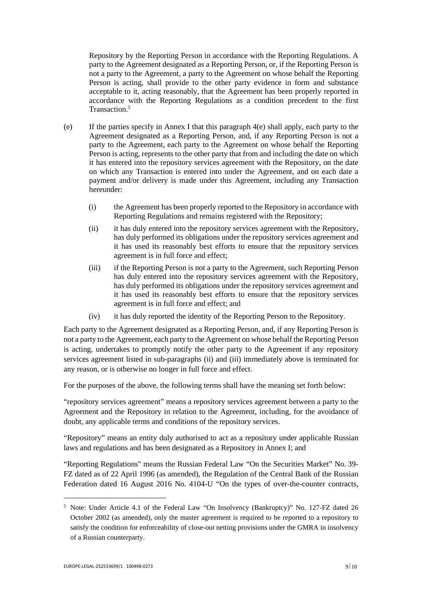Repository by the Reporting Person in accordance with the Reporting Regulations. A party to the Agreement designated as a Reporting Person, or, if the Reporting Person is not a party to the Agreement, a party to the Agreement on whose behalf the Reporting Person is acting, shall provide to the other party evidence in form and substance acceptable to it, acting reasonably, that the Agreement has been properly reported in accordance with the Reporting Regulations as a condition precedent to the first Transaction.<sup>5</sup>

- (e) If the parties specify in Annex I that this paragraph  $4(e)$  shall apply, each party to the Agreement designated as a Reporting Person, and, if any Reporting Person is not a party to the Agreement, each party to the Agreement on whose behalf the Reporting Person is acting, represents to the other party that from and including the date on which it has entered into the repository services agreement with the Repository, on the date on which any Transaction is entered into under the Agreement, and on each date a payment and/or delivery is made under this Agreement, including any Transaction hereunder:
	- (i) the Agreement has been properly reported to the Repository in accordance with Reporting Regulations and remains registered with the Repository;
	- (ii) it has duly entered into the repository services agreement with the Repository, has duly performed its obligations under the repository services agreement and it has used its reasonably best efforts to ensure that the repository services agreement is in full force and effect;
	- (iii) if the Reporting Person is not a party to the Agreement, such Reporting Person has duly entered into the repository services agreement with the Repository, has duly performed its obligations under the repository services agreement and it has used its reasonably best efforts to ensure that the repository services agreement is in full force and effect; and
	- (iv) it has duly reported the identity of the Reporting Person to the Repository.

Each party to the Agreement designated as a Reporting Person, and, if any Reporting Person is not a party to the Agreement, each party to the Agreement on whose behalf the Reporting Person is acting, undertakes to promptly notify the other party to the Agreement if any repository services agreement listed in sub-paragraphs (ii) and (iii) immediately above is terminated for any reason, or is otherwise no longer in full force and effect.

For the purposes of the above, the following terms shall have the meaning set forth below:

"repository services agreement" means a repository services agreement between a party to the Agreement and the Repository in relation to the Agreement, including, for the avoidance of doubt, any applicable terms and conditions of the repository services.

"Repository" means an entity duly authorised to act as a repository under applicable Russian laws and regulations and has been designated as a Repository in Annex I; and

"Reporting Regulations" means the Russian Federal Law "On the Securities Market" No. 39- FZ dated as of 22 April 1996 (as amended), the Regulation of the Central Bank of the Russian Federation dated 16 August 2016 No. 4104-U "On the types of over-the-counter contracts,

<sup>&</sup>lt;sup>5</sup> Note: Under Article 4.1 of the Federal Law "On Insolvency (Bankruptcy)" No. 127-FZ dated 26 October 2002 (as amended), only the master agreement is required to be reported to a repository to satisfy the condition for enforceability of close-out netting provisions under the GMRA in insolvency of a Russian counterparty.